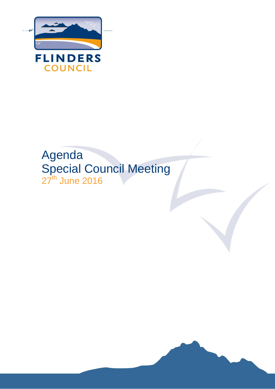

# Agenda Special Council Meeting 27<sup>th</sup> June 2016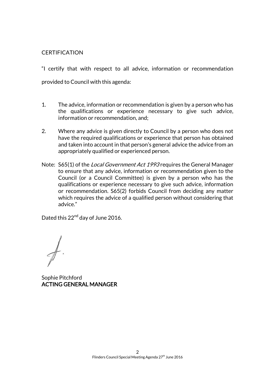# **CERTIFICATION**

"I certify that with respect to all advice, information or recommendation provided to Council with this agenda:

- 1. The advice, information or recommendation is given by a person who has the qualifications or experience necessary to give such advice, information or recommendation, and;
- 2. Where any advice is given directly to Council by a person who does not have the required qualifications or experience that person has obtained and taken into account in that person's general advice the advice from an appropriately qualified or experienced person.
- Note: S65(1) of the *Local Government Act 1993* requires the General Manager to ensure that any advice, information or recommendation given to the Council (or a Council Committee) is given by a person who has the qualifications or experience necessary to give such advice, information or recommendation. S65(2) forbids Council from deciding any matter which requires the advice of a qualified person without considering that advice."

Dated this 22<sup>nd</sup> day of June 2016.

Sophie Pitchford ACTING GENERAL MANAGER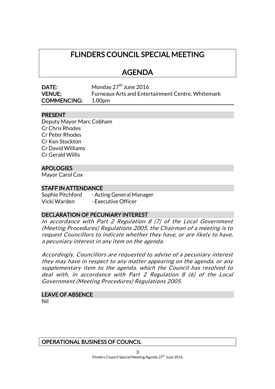# FLINDERS COUNCIL SPECIAL MEETING

# AGENDA

| <b>DATE:</b>       | Monday $27th$ June 2016                           |
|--------------------|---------------------------------------------------|
| <b>VENUE:</b>      | Furneaux Arts and Entertainment Centre, Whitemark |
| <b>COMMENCING:</b> | 1.00pm                                            |

# PRESENT

Deputy Mayor Marc Cobham Cr Chris Rhodes Cr Peter Rhodes Cr Ken Stockton Cr David Williams Cr Gerald Willis

# APOLOGIES

Mayor Carol Cox

# STAFF IN ATTENDANCE

Sophie Pitchford - Acting General Manager Vicki Warden - Executive Officer

# DECLARATION OF PECUNIARY INTEREST

In accordance with Part 2 Regulation 8 (7) of the Local Government (Meeting Procedures) Regulations 2005, the Chairman of a meeting is to request Councillors to indicate whether they have, or are likely to have, a pecuniary interest in any item on the agenda.

Accordingly, Councillors are requested to advise of a pecuniary interest they may have in respect to any matter appearing on the agenda, or any supplementary item to the agenda, which the Council has resolved to deal with, in accordance with Part 2 Regulation 8 (6) of the Local Government (Meeting Procedures) Regulations 2005.

# LEAVE OF ABSENCE

Nil

# OPERATIONAL BUSINESS OF COUNCIL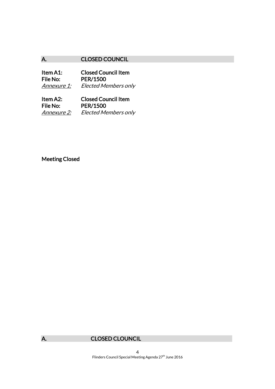# A. CLOSED COUNCIL

Item A1: Closed Council Item<br>File No: PER/1500 PER/1500 Annexure 1: Elected Members only

Item A2: Closed Council Item File No: PER/1500 Annexure 2: Elected Members only

# Meeting Closed



# A. CLOSED CLOUNCIL